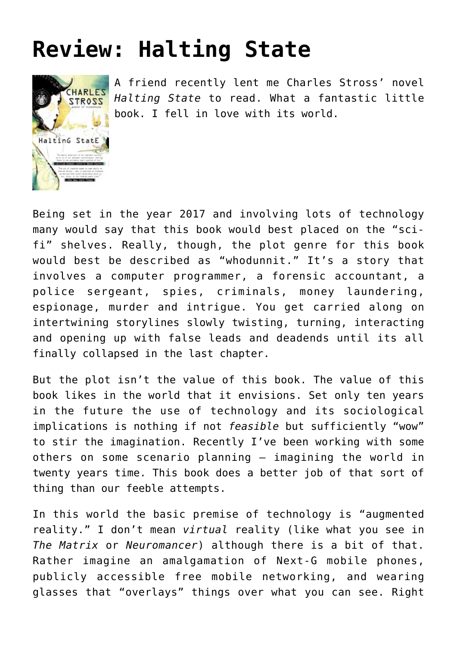## **[Review: Halting State](https://briggs.id.au/jour/2008/08/halting-state-review/)**



A friend recently lent me Charles Stross' novel *[Halting State](http://www.amazon.com/Halting-State-Ace-Science-Fiction/dp/0441016073/ref=pd_bbs_sr_1?ie=UTF8&s=books&qid=1218063655&sr=8-1)* to read. What a fantastic little book. I fell in love with its world.

Being set in the year 2017 and involving lots of technology many would say that this book would best placed on the "scifi" shelves. Really, though, the plot genre for this book would best be described as "whodunnit." It's a story that involves a computer programmer, a forensic accountant, a police sergeant, spies, criminals, money laundering, espionage, murder and intrigue. You get carried along on intertwining storylines slowly twisting, turning, interacting and opening up with false leads and deadends until its all finally collapsed in the last chapter.

But the plot isn't the value of this book. The value of this book likes in the world that it envisions. Set only ten years in the future the use of technology and its sociological implications is nothing if not *feasible* but sufficiently "wow" to stir the imagination. Recently I've been working with some others on some scenario planning – imagining the world in twenty years time. This book does a better job of that sort of thing than our feeble attempts.

In this world the basic premise of technology is "augmented reality." I don't mean *virtual* reality (like what you see in *The Matrix* or *Neuromancer*) although there is a bit of that. Rather imagine an amalgamation of Next-G mobile phones, publicly accessible free mobile networking, and wearing glasses that "overlays" things over what you can see. Right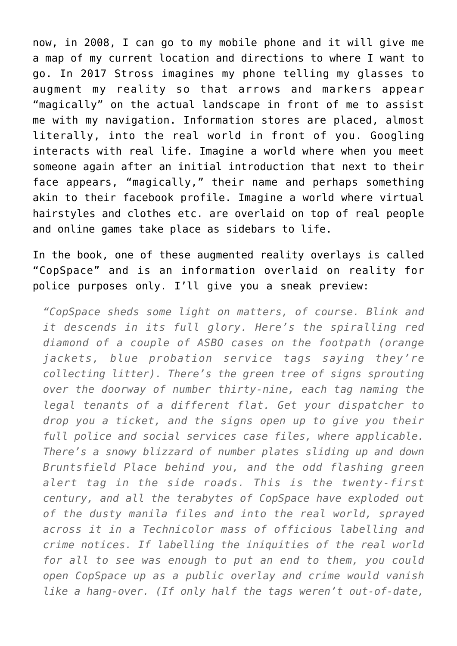now, in 2008, I can go to my mobile phone and it will give me a map of my current location and directions to where I want to go. In 2017 Stross imagines my phone telling my glasses to augment my reality so that arrows and markers appear "magically" on the actual landscape in front of me to assist me with my navigation. Information stores are placed, almost literally, into the real world in front of you. Googling interacts with real life. Imagine a world where when you meet someone again after an initial introduction that next to their face appears, "magically," their name and perhaps something akin to their facebook profile. Imagine a world where virtual hairstyles and clothes etc. are overlaid on top of real people and online games take place as sidebars to life.

In the book, one of these augmented reality overlays is called "CopSpace" and is an information overlaid on reality for police purposes only. I'll give you a sneak preview:

*"CopSpace sheds some light on matters, of course. Blink and it descends in its full glory. Here's the spiralling red diamond of a couple of ASBO cases on the footpath (orange jackets, blue probation service tags saying they're collecting litter). There's the green tree of signs sprouting over the doorway of number thirty-nine, each tag naming the legal tenants of a different flat. Get your dispatcher to drop you a ticket, and the signs open up to give you their full police and social services case files, where applicable. There's a snowy blizzard of number plates sliding up and down Bruntsfield Place behind you, and the odd flashing green alert tag in the side roads. This is the twenty-first century, and all the terabytes of CopSpace have exploded out of the dusty manila files and into the real world, sprayed across it in a Technicolor mass of officious labelling and crime notices. If labelling the iniquities of the real world for all to see was enough to put an end to them, you could open CopSpace up as a public overlay and crime would vanish like a hang-over. (If only half the tags weren't out-of-date,*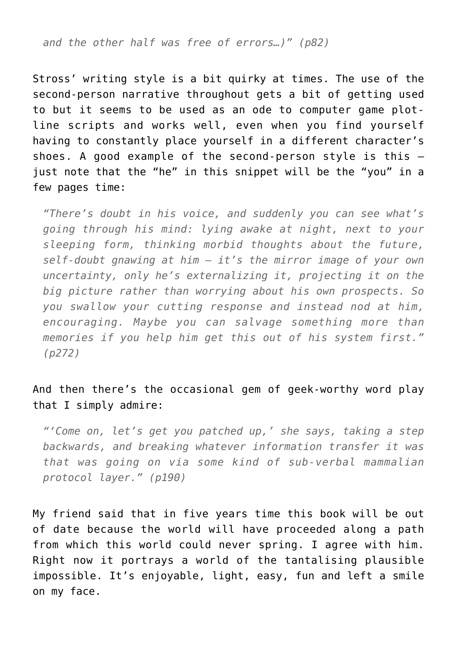*and the other half was free of errors…)" (p82)*

Stross' writing style is a bit quirky at times. The use of the second-person narrative throughout gets a bit of getting used to but it seems to be used as an ode to computer game plotline scripts and works well, even when you find yourself having to constantly place yourself in a different character's shoes. A good example of the second-person style is this – just note that the "he" in this snippet will be the "you" in a few pages time:

*"There's doubt in his voice, and suddenly you can see what's going through his mind: lying awake at night, next to your sleeping form, thinking morbid thoughts about the future, self-doubt gnawing at him – it's the mirror image of your own uncertainty, only he's externalizing it, projecting it on the big picture rather than worrying about his own prospects. So you swallow your cutting response and instead nod at him, encouraging. Maybe you can salvage something more than memories if you help him get this out of his system first." (p272)*

## And then there's the occasional gem of geek-worthy word play that I simply admire:

*"'Come on, let's get you patched up,' she says, taking a step backwards, and breaking whatever information transfer it was that was going on via some kind of sub-verbal mammalian protocol layer." (p190)*

My friend said that in five years time this book will be out of date because the world will have proceeded along a path from which this world could never spring. I agree with him. Right now it portrays a world of the tantalising plausible impossible. It's enjoyable, light, easy, fun and left a smile on my face.